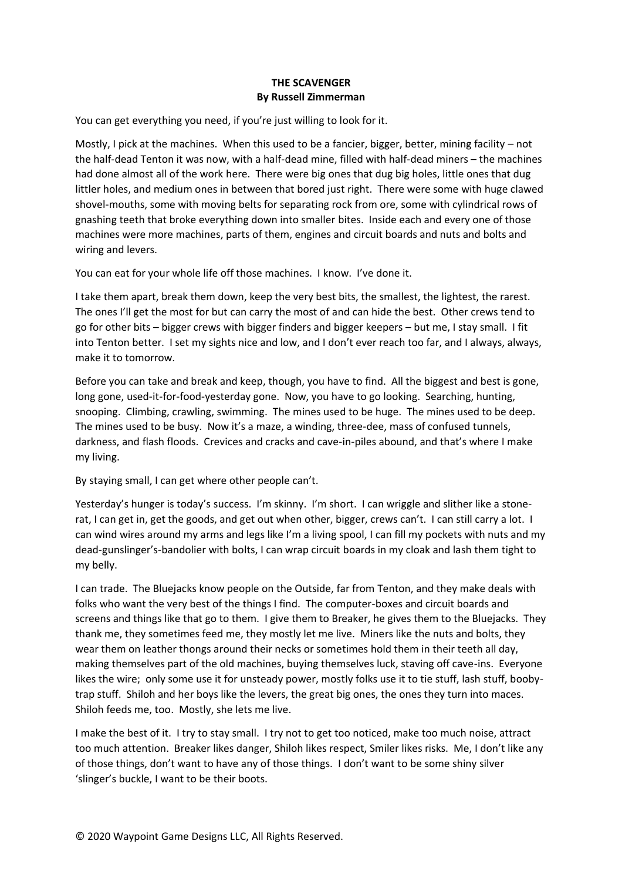## **THE SCAVENGER By Russell Zimmerman**

You can get everything you need, if you're just willing to look for it.

Mostly, I pick at the machines. When this used to be a fancier, bigger, better, mining facility – not the half-dead Tenton it was now, with a half-dead mine, filled with half-dead miners – the machines had done almost all of the work here. There were big ones that dug big holes, little ones that dug littler holes, and medium ones in between that bored just right. There were some with huge clawed shovel-mouths, some with moving belts for separating rock from ore, some with cylindrical rows of gnashing teeth that broke everything down into smaller bites. Inside each and every one of those machines were more machines, parts of them, engines and circuit boards and nuts and bolts and wiring and levers.

You can eat for your whole life off those machines. I know. I've done it.

I take them apart, break them down, keep the very best bits, the smallest, the lightest, the rarest. The ones I'll get the most for but can carry the most of and can hide the best. Other crews tend to go for other bits – bigger crews with bigger finders and bigger keepers – but me, I stay small. I fit into Tenton better. I set my sights nice and low, and I don't ever reach too far, and I always, always, make it to tomorrow.

Before you can take and break and keep, though, you have to find. All the biggest and best is gone, long gone, used-it-for-food-yesterday gone. Now, you have to go looking. Searching, hunting, snooping. Climbing, crawling, swimming. The mines used to be huge. The mines used to be deep. The mines used to be busy. Now it's a maze, a winding, three-dee, mass of confused tunnels, darkness, and flash floods. Crevices and cracks and cave-in-piles abound, and that's where I make my living.

By staying small, I can get where other people can't.

Yesterday's hunger is today's success. I'm skinny. I'm short. I can wriggle and slither like a stonerat, I can get in, get the goods, and get out when other, bigger, crews can't. I can still carry a lot. I can wind wires around my arms and legs like I'm a living spool, I can fill my pockets with nuts and my dead-gunslinger's-bandolier with bolts, I can wrap circuit boards in my cloak and lash them tight to my belly.

I can trade. The Bluejacks know people on the Outside, far from Tenton, and they make deals with folks who want the very best of the things I find. The computer-boxes and circuit boards and screens and things like that go to them. I give them to Breaker, he gives them to the Bluejacks. They thank me, they sometimes feed me, they mostly let me live. Miners like the nuts and bolts, they wear them on leather thongs around their necks or sometimes hold them in their teeth all day, making themselves part of the old machines, buying themselves luck, staving off cave-ins. Everyone likes the wire; only some use it for unsteady power, mostly folks use it to tie stuff, lash stuff, boobytrap stuff. Shiloh and her boys like the levers, the great big ones, the ones they turn into maces. Shiloh feeds me, too. Mostly, she lets me live.

I make the best of it. I try to stay small. I try not to get too noticed, make too much noise, attract too much attention. Breaker likes danger, Shiloh likes respect, Smiler likes risks. Me, I don't like any of those things, don't want to have any of those things. I don't want to be some shiny silver 'slinger's buckle, I want to be their boots.